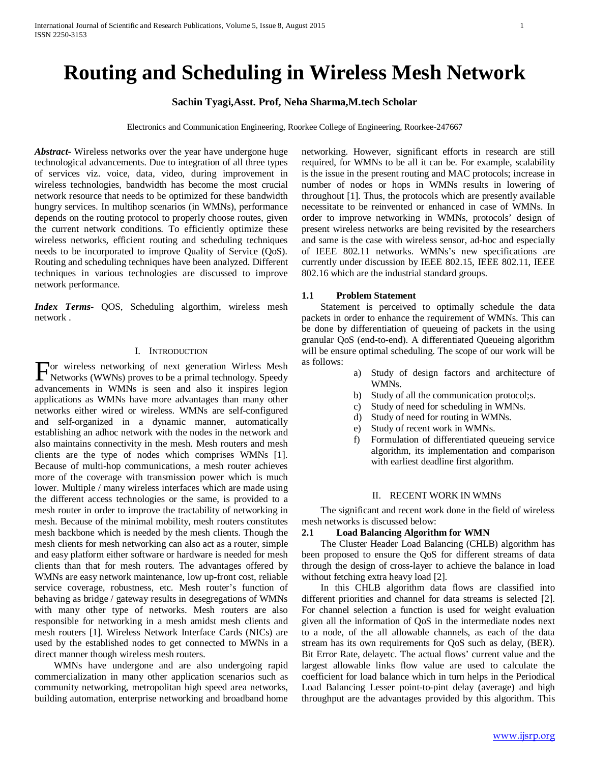# **Routing and Scheduling in Wireless Mesh Network**

# **Sachin Tyagi,Asst. Prof, Neha Sharma,M.tech Scholar**

Electronics and Communication Engineering, Roorkee College of Engineering, Roorkee-247667

*Abstract***-** Wireless networks over the year have undergone huge technological advancements. Due to integration of all three types of services viz. voice, data, video, during improvement in wireless technologies, bandwidth has become the most crucial network resource that needs to be optimized for these bandwidth hungry services. In multihop scenarios (in WMNs), performance depends on the routing protocol to properly choose routes, given the current network conditions. To efficiently optimize these wireless networks, efficient routing and scheduling techniques needs to be incorporated to improve Quality of Service (QoS). Routing and scheduling techniques have been analyzed. Different techniques in various technologies are discussed to improve network performance.

*Index Terms*- QOS, Scheduling algorthim, wireless mesh network .

## I. INTRODUCTION

or wireless networking of next generation Wirless Mesh For wireless networking of next generation Wirless Mesh<br>Networks (WWNs) proves to be a primal technology. Speedy advancements in WMNs is seen and also it inspires legion applications as WMNs have more advantages than many other networks either wired or wireless. WMNs are self-configured and self-organized in a dynamic manner, automatically establishing an adhoc network with the nodes in the network and also maintains connectivity in the mesh. Mesh routers and mesh clients are the type of nodes which comprises WMNs [1]. Because of multi-hop communications, a mesh router achieves more of the coverage with transmission power which is much lower. Multiple / many wireless interfaces which are made using the different access technologies or the same, is provided to a mesh router in order to improve the tractability of networking in mesh. Because of the minimal mobility, mesh routers constitutes mesh backbone which is needed by the mesh clients. Though the mesh clients for mesh networking can also act as a router, simple and easy platform either software or hardware is needed for mesh clients than that for mesh routers. The advantages offered by WMNs are easy network maintenance, low up-front cost, reliable service coverage, robustness, etc. Mesh router's function of behaving as bridge / gateway results in desegregations of WMNs with many other type of networks. Mesh routers are also responsible for networking in a mesh amidst mesh clients and mesh routers [1]. Wireless Network Interface Cards (NICs) are used by the established nodes to get connected to MWNs in a direct manner though wireless mesh routers.

 WMNs have undergone and are also undergoing rapid commercialization in many other application scenarios such as community networking, metropolitan high speed area networks, building automation, enterprise networking and broadband home

networking. However, significant efforts in research are still required, for WMNs to be all it can be. For example, scalability is the issue in the present routing and MAC protocols; increase in number of nodes or hops in WMNs results in lowering of throughout [1]. Thus, the protocols which are presently available necessitate to be reinvented or enhanced in case of WMNs. In order to improve networking in WMNs, protocols' design of present wireless networks are being revisited by the researchers and same is the case with wireless sensor, ad-hoc and especially of IEEE 802.11 networks. WMNs's new specifications are currently under discussion by IEEE 802.15, IEEE 802.11, IEEE 802.16 which are the industrial standard groups.

# **1.1 Problem Statement**

 Statement is perceived to optimally schedule the data packets in order to enhance the requirement of WMNs. This can be done by differentiation of queueing of packets in the using granular QoS (end-to-end). A differentiated Queueing algorithm will be ensure optimal scheduling. The scope of our work will be as follows:

- a) Study of design factors and architecture of WMNs.
- b) Study of all the communication protocol;s.
- c) Study of need for scheduling in WMNs.
- d) Study of need for routing in WMNs.
- e) Study of recent work in WMNs.
- f) Formulation of differentiated queueing service algorithm, its implementation and comparison with earliest deadline first algorithm.

#### II. RECENT WORK IN WMNS

 The significant and recent work done in the field of wireless mesh networks is discussed below:

## **2.1 Load Balancing Algorithm for WMN**

 The Cluster Header Load Balancing (CHLB) algorithm has been proposed to ensure the QoS for different streams of data through the design of cross-layer to achieve the balance in load without fetching extra heavy load [2].

 In this CHLB algorithm data flows are classified into different priorities and channel for data streams is selected [2]. For channel selection a function is used for weight evaluation given all the information of QoS in the intermediate nodes next to a node, of the all allowable channels, as each of the data stream has its own requirements for QoS such as delay, (BER). Bit Error Rate, delayetc. The actual flows' current value and the largest allowable links flow value are used to calculate the coefficient for load balance which in turn helps in the Periodical Load Balancing Lesser point-to-pint delay (average) and high throughput are the advantages provided by this algorithm. This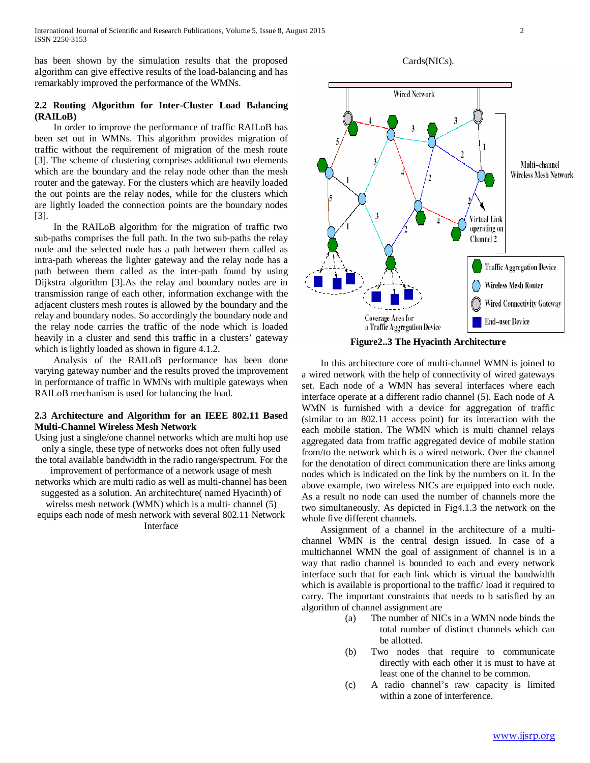has been shown by the simulation results that the proposed algorithm can give effective results of the load-balancing and has remarkably improved the performance of the WMNs.

# **2.2 Routing Algorithm for Inter-Cluster Load Balancing (RAILoB)**

 In order to improve the performance of traffic RAILoB has been set out in WMNs. This algorithm provides migration of traffic without the requirement of migration of the mesh route [3]. The scheme of clustering comprises additional two elements which are the boundary and the relay node other than the mesh router and the gateway. For the clusters which are heavily loaded the out points are the relay nodes, while for the clusters which are lightly loaded the connection points are the boundary nodes [3].

 In the RAILoB algorithm for the migration of traffic two sub-paths comprises the full path. In the two sub-paths the relay node and the selected node has a path between them called as intra-path whereas the lighter gateway and the relay node has a path between them called as the inter-path found by using Dijkstra algorithm [3].As the relay and boundary nodes are in transmission range of each other, information exchange with the adjacent clusters mesh routes is allowed by the boundary and the relay and boundary nodes. So accordingly the boundary node and the relay node carries the traffic of the node which is loaded heavily in a cluster and send this traffic in a clusters' gateway which is lightly loaded as shown in figure 4.1.2.

 Analysis of the RAILoB performance has been done varying gateway number and the results proved the improvement in performance of traffic in WMNs with multiple gateways when RAILoB mechanism is used for balancing the load.

# **2.3 Architecture and Algorithm for an IEEE 802.11 Based Multi-Channel Wireless Mesh Network**

Using just a single/one channel networks which are multi hop use only a single, these type of networks does not often fully used the total available bandwidth in the radio range/spectrum. For the

improvement of performance of a network usage of mesh networks which are multi radio as well as multi-channel has been suggested as a solution. An architechture( named Hyacinth) of

wirelss mesh network (WMN) which is a multi- channel (5) equips each node of mesh network with several 802.11 Network Interface

Cards(NICs).



**Figure2..3 The Hyacinth Architecture**

 In this architecture core of multi-channel WMN is joined to a wired network with the help of connectivity of wired gateways set. Each node of a WMN has several interfaces where each interface operate at a different radio channel (5). Each node of A WMN is furnished with a device for aggregation of traffic (similar to an 802.11 access point) for its interaction with the each mobile station. The WMN which is multi channel relays aggregated data from traffic aggregated device of mobile station from/to the network which is a wired network. Over the channel for the denotation of direct communication there are links among nodes which is indicated on the link by the numbers on it. In the above example, two wireless NICs are equipped into each node. As a result no node can used the number of channels more the two simultaneously. As depicted in Fig4.1.3 the network on the whole five different channels.

 Assignment of a channel in the architecture of a multichannel WMN is the central design issued. In case of a multichannel WMN the goal of assignment of channel is in a way that radio channel is bounded to each and every network interface such that for each link which is virtual the bandwidth which is available is proportional to the traffic/ load it required to carry. The important constraints that needs to b satisfied by an algorithm of channel assignment are

- (a) The number of NICs in a WMN node binds the total number of distinct channels which can be allotted.
- (b) Two nodes that require to communicate directly with each other it is must to have at least one of the channel to be common.
- (c) A radio channel's raw capacity is limited within a zone of interference.